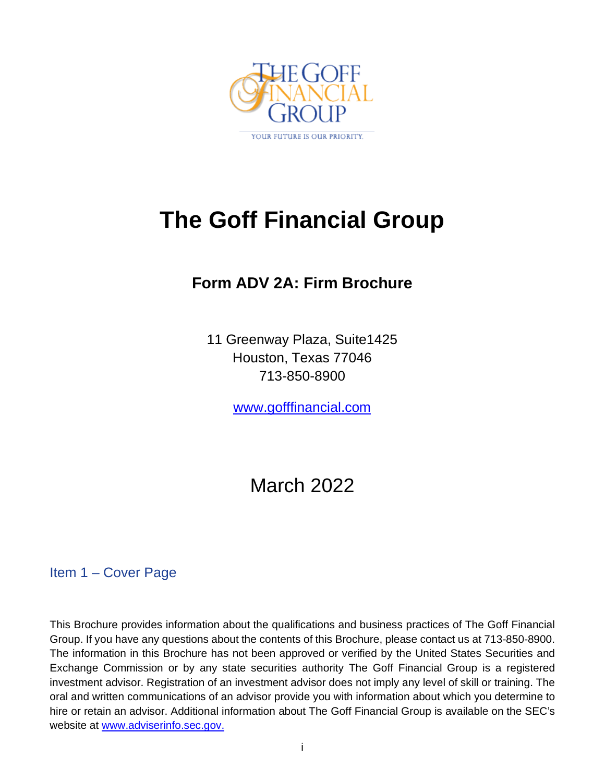

# **The Goff Financial Group**

# **Form ADV 2A: Firm Brochure**

11 Greenway Plaza, Suite1425 Houston, Texas 77046 713-850-8900

[www.gofffinancial.com](http://www.gofffinancial.com/)

# March 2022

# <span id="page-0-0"></span>Item 1 – Cover Page

This Brochure provides information about the qualifications and business practices of The Goff Financial Group. If you have any questions about the contents of this Brochure, please contact us at 713-850-8900. The information in this Brochure has not been approved or verified by the United States Securities and Exchange Commission or by any state securities authority The Goff Financial Group is a registered investment advisor. Registration of an investment advisor does not imply any level of skill or training. The oral and written communications of an advisor provide you with information about which you determine to hire or retain an advisor. Additional information about The Goff Financial Group is available on the SEC's website at [www.adviserinfo.sec.gov.](http://www.adviserinfo.sec.gov/)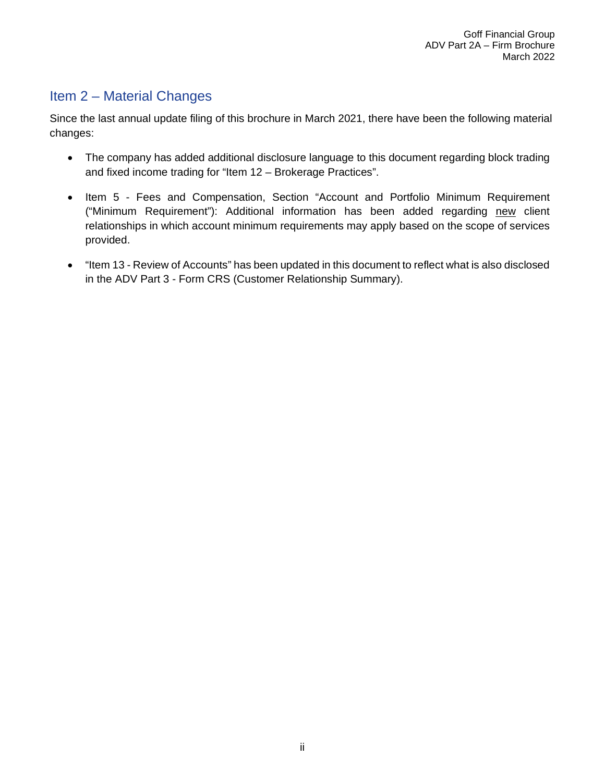# <span id="page-1-0"></span>Item 2 – Material Changes

Since the last annual update filing of this brochure in March 2021, there have been the following material changes:

- The company has added additional disclosure language to this document regarding block trading and fixed income trading for "Item 12 – Brokerage Practices".
- Item 5 Fees and Compensation, Section "Account and Portfolio Minimum Requirement ("Minimum Requirement"): Additional information has been added regarding new client relationships in which account minimum requirements may apply based on the scope of services provided.
- "Item 13 Review of Accounts" has been updated in this document to reflect what is also disclosed in the ADV Part 3 - Form CRS (Customer Relationship Summary).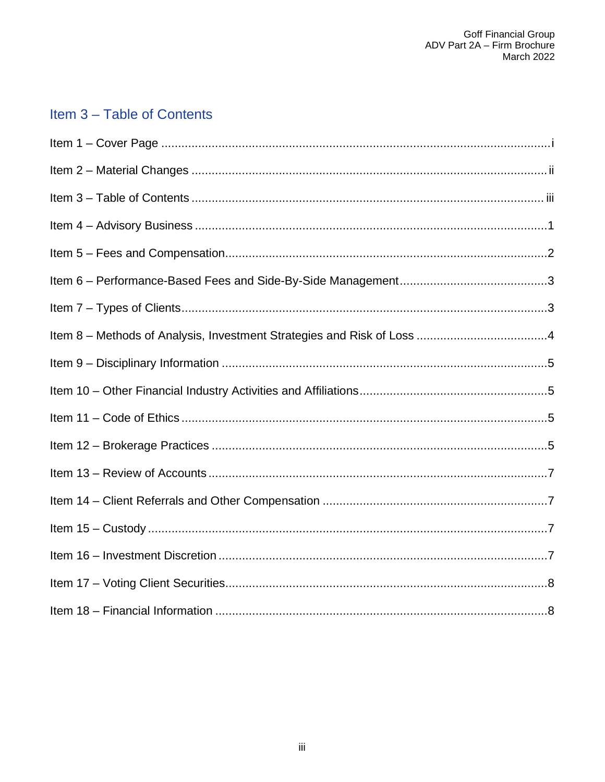# <span id="page-2-0"></span>Item 3 - Table of Contents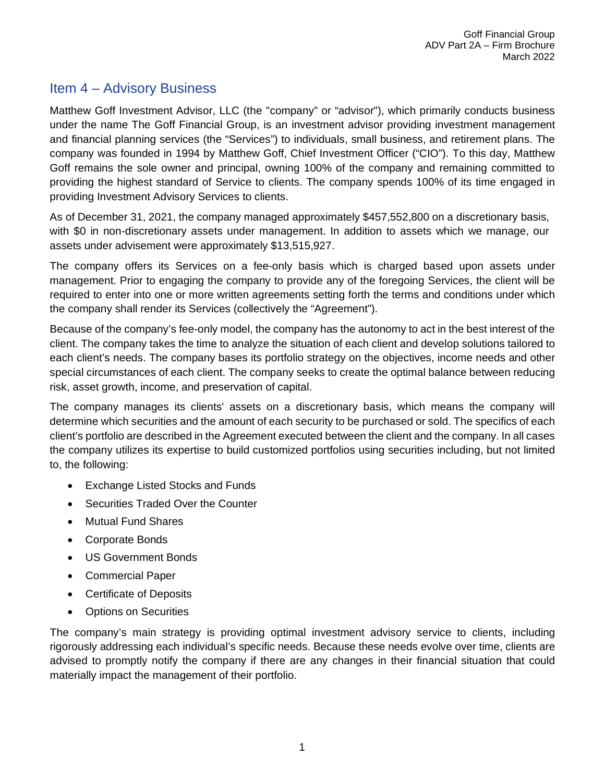# <span id="page-3-0"></span>Item 4 – Advisory Business

Matthew Goff Investment Advisor, LLC (the "company" or "advisor"), which primarily conducts business under the name The Goff Financial Group, is an investment advisor providing investment management and financial planning services (the "Services") to individuals, small business, and retirement plans. The company was founded in 1994 by Matthew Goff, Chief Investment Officer ("CIO"). To this day, Matthew Goff remains the sole owner and principal, owning 100% of the company and remaining committed to providing the highest standard of Service to clients. The company spends 100% of its time engaged in providing Investment Advisory Services to clients.

As of December 31, 2021, the company managed approximately \$457,552,800 on a discretionary basis, with \$0 in non-discretionary assets under management. In addition to assets which we manage, our assets under advisement were approximately \$13,515,927.

The company offers its Services on a fee-only basis which is charged based upon assets under management. Prior to engaging the company to provide any of the foregoing Services, the client will be required to enter into one or more written agreements setting forth the terms and conditions under which the company shall render its Services (collectively the "Agreement").

Because of the company's fee-only model, the company has the autonomy to act in the best interest of the client. The company takes the time to analyze the situation of each client and develop solutions tailored to each client's needs. The company bases its portfolio strategy on the objectives, income needs and other special circumstances of each client. The company seeks to create the optimal balance between reducing risk, asset growth, income, and preservation of capital.

The company manages its clients' assets on a discretionary basis, which means the company will determine which securities and the amount of each security to be purchased or sold. The specifics of each client's portfolio are described in the Agreement executed between the client and the company. In all cases the company utilizes its expertise to build customized portfolios using securities including, but not limited to, the following:

- Exchange Listed Stocks and Funds
- Securities Traded Over the Counter
- Mutual Fund Shares
- Corporate Bonds
- US Government Bonds
- Commercial Paper
- Certificate of Deposits
- Options on Securities

The company's main strategy is providing optimal investment advisory service to clients, including rigorously addressing each individual's specific needs. Because these needs evolve over time, clients are advised to promptly notify the company if there are any changes in their financial situation that could materially impact the management of their portfolio.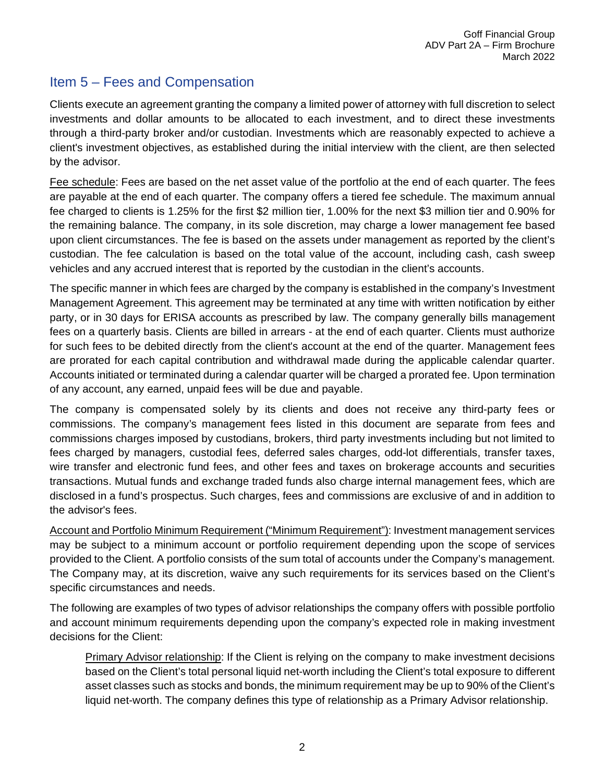# <span id="page-4-0"></span>Item 5 – Fees and Compensation

Clients execute an agreement granting the company a limited power of attorney with full discretion to select investments and dollar amounts to be allocated to each investment, and to direct these investments through a third-party broker and/or custodian. Investments which are reasonably expected to achieve a client's investment objectives, as established during the initial interview with the client, are then selected by the advisor.

Fee schedule: Fees are based on the net asset value of the portfolio at the end of each quarter. The fees are payable at the end of each quarter. The company offers a tiered fee schedule. The maximum annual fee charged to clients is 1.25% for the first \$2 million tier, 1.00% for the next \$3 million tier and 0.90% for the remaining balance. The company, in its sole discretion, may charge a lower management fee based upon client circumstances. The fee is based on the assets under management as reported by the client's custodian. The fee calculation is based on the total value of the account, including cash, cash sweep vehicles and any accrued interest that is reported by the custodian in the client's accounts.

The specific manner in which fees are charged by the company is established in the company's Investment Management Agreement. This agreement may be terminated at any time with written notification by either party, or in 30 days for ERISA accounts as prescribed by law. The company generally bills management fees on a quarterly basis. Clients are billed in arrears - at the end of each quarter. Clients must authorize for such fees to be debited directly from the client's account at the end of the quarter. Management fees are prorated for each capital contribution and withdrawal made during the applicable calendar quarter. Accounts initiated or terminated during a calendar quarter will be charged a prorated fee. Upon termination of any account, any earned, unpaid fees will be due and payable.

The company is compensated solely by its clients and does not receive any third-party fees or commissions. The company's management fees listed in this document are separate from fees and commissions charges imposed by custodians, brokers, third party investments including but not limited to fees charged by managers, custodial fees, deferred sales charges, odd-lot differentials, transfer taxes, wire transfer and electronic fund fees, and other fees and taxes on brokerage accounts and securities transactions. Mutual funds and exchange traded funds also charge internal management fees, which are disclosed in a fund's prospectus. Such charges, fees and commissions are exclusive of and in addition to the advisor's fees.

Account and Portfolio Minimum Requirement ("Minimum Requirement"): Investment management services may be subject to a minimum account or portfolio requirement depending upon the scope of services provided to the Client. A portfolio consists of the sum total of accounts under the Company's management. The Company may, at its discretion, waive any such requirements for its services based on the Client's specific circumstances and needs.

The following are examples of two types of advisor relationships the company offers with possible portfolio and account minimum requirements depending upon the company's expected role in making investment decisions for the Client:

Primary Advisor relationship: If the Client is relying on the company to make investment decisions based on the Client's total personal liquid net-worth including the Client's total exposure to different asset classes such as stocks and bonds, the minimum requirement may be up to 90% of the Client's liquid net-worth. The company defines this type of relationship as a Primary Advisor relationship.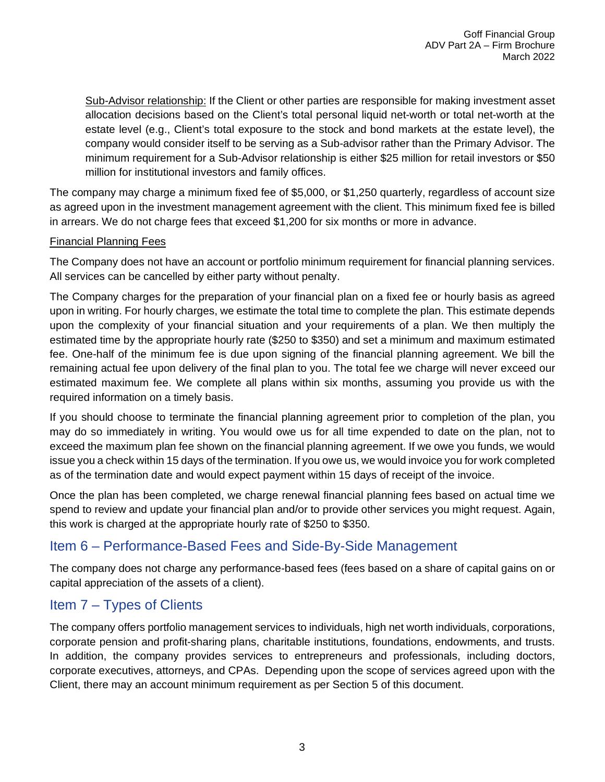Sub-Advisor relationship: If the Client or other parties are responsible for making investment asset allocation decisions based on the Client's total personal liquid net-worth or total net-worth at the estate level (e.g., Client's total exposure to the stock and bond markets at the estate level), the company would consider itself to be serving as a Sub-advisor rather than the Primary Advisor. The minimum requirement for a Sub-Advisor relationship is either \$25 million for retail investors or \$50 million for institutional investors and family offices.

The company may charge a minimum fixed fee of \$5,000, or \$1,250 quarterly, regardless of account size as agreed upon in the investment management agreement with the client. This minimum fixed fee is billed in arrears. We do not charge fees that exceed \$1,200 for six months or more in advance.

#### Financial Planning Fees

The Company does not have an account or portfolio minimum requirement for financial planning services. All services can be cancelled by either party without penalty.

The Company charges for the preparation of your financial plan on a fixed fee or hourly basis as agreed upon in writing. For hourly charges, we estimate the total time to complete the plan. This estimate depends upon the complexity of your financial situation and your requirements of a plan. We then multiply the estimated time by the appropriate hourly rate (\$250 to \$350) and set a minimum and maximum estimated fee. One-half of the minimum fee is due upon signing of the financial planning agreement. We bill the remaining actual fee upon delivery of the final plan to you. The total fee we charge will never exceed our estimated maximum fee. We complete all plans within six months, assuming you provide us with the required information on a timely basis.

If you should choose to terminate the financial planning agreement prior to completion of the plan, you may do so immediately in writing. You would owe us for all time expended to date on the plan, not to exceed the maximum plan fee shown on the financial planning agreement. If we owe you funds, we would issue you a check within 15 days of the termination. If you owe us, we would invoice you for work completed as of the termination date and would expect payment within 15 days of receipt of the invoice.

Once the plan has been completed, we charge renewal financial planning fees based on actual time we spend to review and update your financial plan and/or to provide other services you might request. Again, this work is charged at the appropriate hourly rate of \$250 to \$350.

# <span id="page-5-0"></span>Item 6 – Performance-Based Fees and Side-By-Side Management

The company does not charge any performance-based fees (fees based on a share of capital gains on or capital appreciation of the assets of a client).

# <span id="page-5-1"></span>Item 7 – Types of Clients

The company offers portfolio management services to individuals, high net worth individuals, corporations, corporate pension and profit-sharing plans, charitable institutions, foundations, endowments, and trusts. In addition, the company provides services to entrepreneurs and professionals, including doctors, corporate executives, attorneys, and CPAs. Depending upon the scope of services agreed upon with the Client, there may an account minimum requirement as per Section 5 of this document.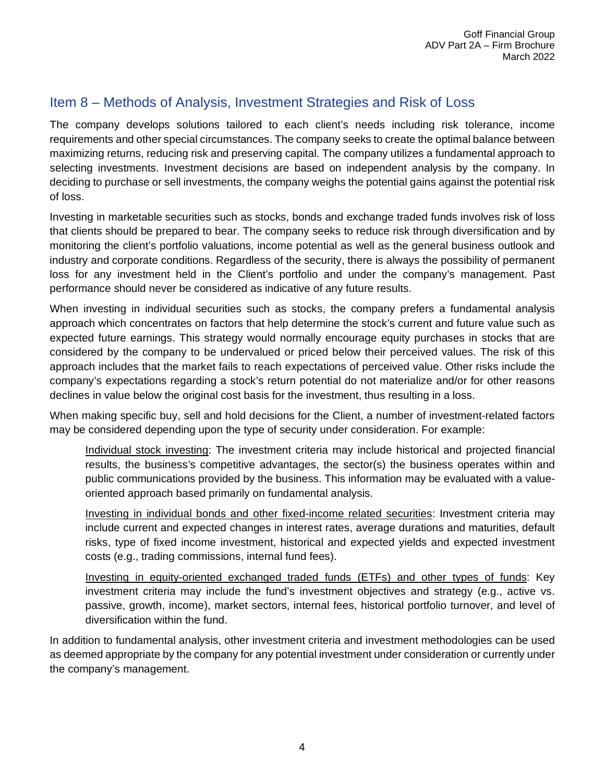# <span id="page-6-0"></span>Item 8 – Methods of Analysis, Investment Strategies and Risk of Loss

The company develops solutions tailored to each client's needs including risk tolerance, income requirements and other special circumstances. The company seeks to create the optimal balance between maximizing returns, reducing risk and preserving capital. The company utilizes a fundamental approach to selecting investments. Investment decisions are based on independent analysis by the company. In deciding to purchase or sell investments, the company weighs the potential gains against the potential risk of loss.

Investing in marketable securities such as stocks, bonds and exchange traded funds involves risk of loss that clients should be prepared to bear. The company seeks to reduce risk through diversification and by monitoring the client's portfolio valuations, income potential as well as the general business outlook and industry and corporate conditions. Regardless of the security, there is always the possibility of permanent loss for any investment held in the Client's portfolio and under the company's management. Past performance should never be considered as indicative of any future results.

When investing in individual securities such as stocks, the company prefers a fundamental analysis approach which concentrates on factors that help determine the stock's current and future value such as expected future earnings. This strategy would normally encourage equity purchases in stocks that are considered by the company to be undervalued or priced below their perceived values. The risk of this approach includes that the market fails to reach expectations of perceived value. Other risks include the company's expectations regarding a stock's return potential do not materialize and/or for other reasons declines in value below the original cost basis for the investment, thus resulting in a loss.

When making specific buy, sell and hold decisions for the Client, a number of investment-related factors may be considered depending upon the type of security under consideration. For example:

Individual stock investing: The investment criteria may include historical and projected financial results, the business's competitive advantages, the sector(s) the business operates within and public communications provided by the business. This information may be evaluated with a valueoriented approach based primarily on fundamental analysis.

Investing in individual bonds and other fixed-income related securities: Investment criteria may include current and expected changes in interest rates, average durations and maturities, default risks, type of fixed income investment, historical and expected yields and expected investment costs (e.g., trading commissions, internal fund fees).

Investing in equity-oriented exchanged traded funds (ETFs) and other types of funds: Key investment criteria may include the fund's investment objectives and strategy (e.g., active vs. passive, growth, income), market sectors, internal fees, historical portfolio turnover, and level of diversification within the fund.

In addition to fundamental analysis, other investment criteria and investment methodologies can be used as deemed appropriate by the company for any potential investment under consideration or currently under the company's management.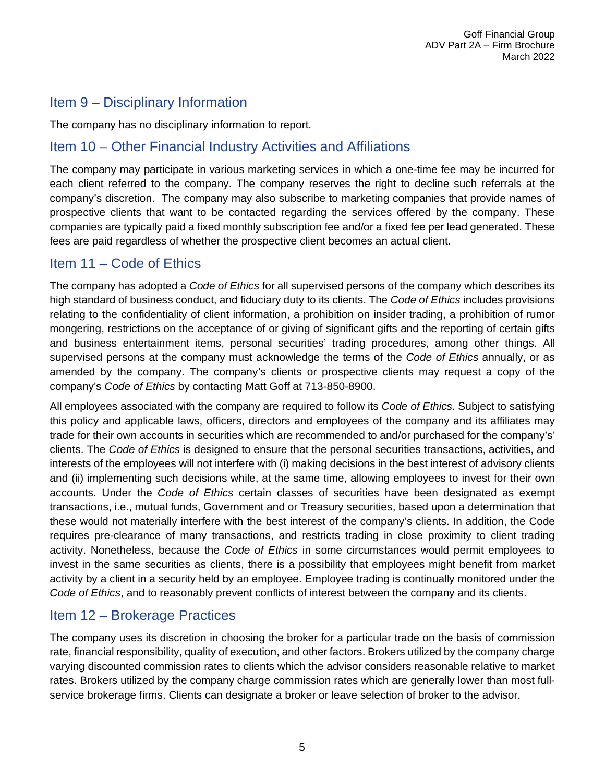# <span id="page-7-0"></span>Item 9 – Disciplinary Information

The company has no disciplinary information to report.

# <span id="page-7-1"></span>Item 10 – Other Financial Industry Activities and Affiliations

The company may participate in various marketing services in which a one-time fee may be incurred for each client referred to the company. The company reserves the right to decline such referrals at the company's discretion. The company may also subscribe to marketing companies that provide names of prospective clients that want to be contacted regarding the services offered by the company. These companies are typically paid a fixed monthly subscription fee and/or a fixed fee per lead generated. These fees are paid regardless of whether the prospective client becomes an actual client.

### <span id="page-7-2"></span>Item 11 – Code of Ethics

The company has adopted a *Code of Ethics* for all supervised persons of the company which describes its high standard of business conduct, and fiduciary duty to its clients. The *Code of Ethics* includes provisions relating to the confidentiality of client information, a prohibition on insider trading, a prohibition of rumor mongering, restrictions on the acceptance of or giving of significant gifts and the reporting of certain gifts and business entertainment items, personal securities' trading procedures, among other things. All supervised persons at the company must acknowledge the terms of the *Code of Ethics* annually, or as amended by the company. The company's clients or prospective clients may request a copy of the company's *Code of Ethics* by contacting Matt Goff at 713-850-8900.

All employees associated with the company are required to follow its *Code of Ethics*. Subject to satisfying this policy and applicable laws, officers, directors and employees of the company and its affiliates may trade for their own accounts in securities which are recommended to and/or purchased for the company's' clients. The *Code of Ethics* is designed to ensure that the personal securities transactions, activities, and interests of the employees will not interfere with (i) making decisions in the best interest of advisory clients and (ii) implementing such decisions while, at the same time, allowing employees to invest for their own accounts. Under the *Code of Ethics* certain classes of securities have been designated as exempt transactions, i.e., mutual funds, Government and or Treasury securities, based upon a determination that these would not materially interfere with the best interest of the company's clients. In addition, the Code requires pre-clearance of many transactions, and restricts trading in close proximity to client trading activity. Nonetheless, because the *Code of Ethics* in some circumstances would permit employees to invest in the same securities as clients, there is a possibility that employees might benefit from market activity by a client in a security held by an employee. Employee trading is continually monitored under the *Code of Ethics*, and to reasonably prevent conflicts of interest between the company and its clients.

# <span id="page-7-3"></span>Item 12 – Brokerage Practices

The company uses its discretion in choosing the broker for a particular trade on the basis of commission rate, financial responsibility, quality of execution, and other factors. Brokers utilized by the company charge varying discounted commission rates to clients which the advisor considers reasonable relative to market rates. Brokers utilized by the company charge commission rates which are generally lower than most fullservice brokerage firms. Clients can designate a broker or leave selection of broker to the advisor.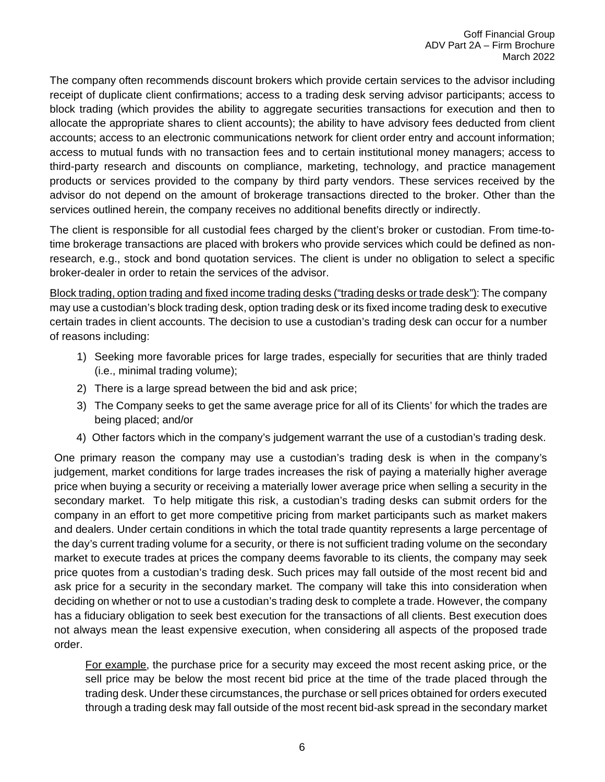The company often recommends discount brokers which provide certain services to the advisor including receipt of duplicate client confirmations; access to a trading desk serving advisor participants; access to block trading (which provides the ability to aggregate securities transactions for execution and then to allocate the appropriate shares to client accounts); the ability to have advisory fees deducted from client accounts; access to an electronic communications network for client order entry and account information; access to mutual funds with no transaction fees and to certain institutional money managers; access to third-party research and discounts on compliance, marketing, technology, and practice management products or services provided to the company by third party vendors. These services received by the advisor do not depend on the amount of brokerage transactions directed to the broker. Other than the services outlined herein, the company receives no additional benefits directly or indirectly.

The client is responsible for all custodial fees charged by the client's broker or custodian. From time-totime brokerage transactions are placed with brokers who provide services which could be defined as nonresearch, e.g., stock and bond quotation services. The client is under no obligation to select a specific broker-dealer in order to retain the services of the advisor.

Block trading, option trading and fixed income trading desks ("trading desks or trade desk"): The company may use a custodian's block trading desk, option trading desk or its fixed income trading desk to executive certain trades in client accounts. The decision to use a custodian's trading desk can occur for a number of reasons including:

- 1) Seeking more favorable prices for large trades, especially for securities that are thinly traded (i.e., minimal trading volume);
- 2) There is a large spread between the bid and ask price;
- 3) The Company seeks to get the same average price for all of its Clients' for which the trades are being placed; and/or
- 4) Other factors which in the company's judgement warrant the use of a custodian's trading desk.

One primary reason the company may use a custodian's trading desk is when in the company's judgement, market conditions for large trades increases the risk of paying a materially higher average price when buying a security or receiving a materially lower average price when selling a security in the secondary market. To help mitigate this risk, a custodian's trading desks can submit orders for the company in an effort to get more competitive pricing from market participants such as market makers and dealers. Under certain conditions in which the total trade quantity represents a large percentage of the day's current trading volume for a security, or there is not sufficient trading volume on the secondary market to execute trades at prices the company deems favorable to its clients, the company may seek price quotes from a custodian's trading desk. Such prices may fall outside of the most recent bid and ask price for a security in the secondary market. The company will take this into consideration when deciding on whether or not to use a custodian's trading desk to complete a trade. However, the company has a fiduciary obligation to seek best execution for the transactions of all clients. Best execution does not always mean the least expensive execution, when considering all aspects of the proposed trade order.

For example, the purchase price for a security may exceed the most recent asking price, or the sell price may be below the most recent bid price at the time of the trade placed through the trading desk. Under these circumstances, the purchase or sell prices obtained for orders executed through a trading desk may fall outside of the most recent bid-ask spread in the secondary market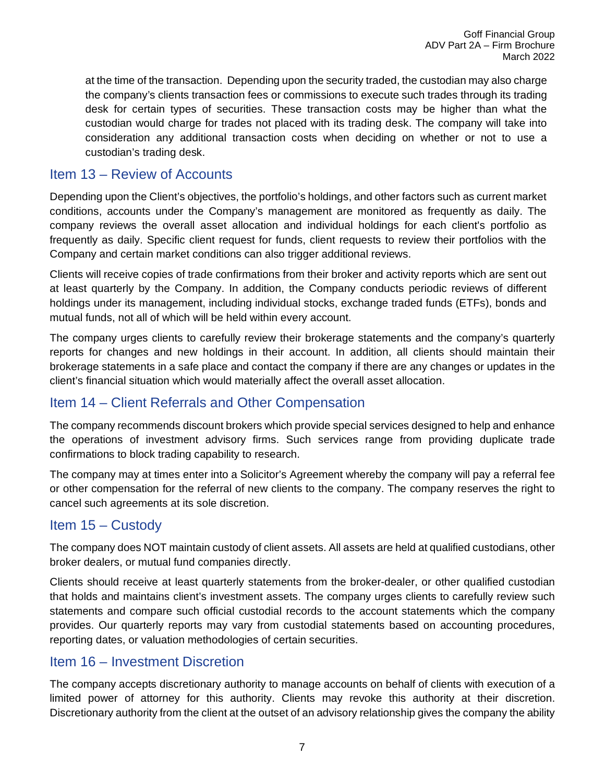at the time of the transaction. Depending upon the security traded, the custodian may also charge the company's clients transaction fees or commissions to execute such trades through its trading desk for certain types of securities. These transaction costs may be higher than what the custodian would charge for trades not placed with its trading desk. The company will take into consideration any additional transaction costs when deciding on whether or not to use a custodian's trading desk.

### <span id="page-9-0"></span>Item 13 – Review of Accounts

Depending upon the Client's objectives, the portfolio's holdings, and other factors such as current market conditions, accounts under the Company's management are monitored as frequently as daily. The company reviews the overall asset allocation and individual holdings for each client's portfolio as frequently as daily. Specific client request for funds, client requests to review their portfolios with the Company and certain market conditions can also trigger additional reviews.

Clients will receive copies of trade confirmations from their broker and activity reports which are sent out at least quarterly by the Company. In addition, the Company conducts periodic reviews of different holdings under its management, including individual stocks, exchange traded funds (ETFs), bonds and mutual funds, not all of which will be held within every account.

The company urges clients to carefully review their brokerage statements and the company's quarterly reports for changes and new holdings in their account. In addition, all clients should maintain their brokerage statements in a safe place and contact the company if there are any changes or updates in the client's financial situation which would materially affect the overall asset allocation.

# <span id="page-9-1"></span>Item 14 – Client Referrals and Other Compensation

The company recommends discount brokers which provide special services designed to help and enhance the operations of investment advisory firms. Such services range from providing duplicate trade confirmations to block trading capability to research.

The company may at times enter into a Solicitor's Agreement whereby the company will pay a referral fee or other compensation for the referral of new clients to the company. The company reserves the right to cancel such agreements at its sole discretion.

# <span id="page-9-2"></span>Item 15 – Custody

The company does NOT maintain custody of client assets. All assets are held at qualified custodians, other broker dealers, or mutual fund companies directly.

Clients should receive at least quarterly statements from the broker-dealer, or other qualified custodian that holds and maintains client's investment assets. The company urges clients to carefully review such statements and compare such official custodial records to the account statements which the company provides. Our quarterly reports may vary from custodial statements based on accounting procedures, reporting dates, or valuation methodologies of certain securities.

### <span id="page-9-3"></span>Item 16 – Investment Discretion

The company accepts discretionary authority to manage accounts on behalf of clients with execution of a limited power of attorney for this authority. Clients may revoke this authority at their discretion. Discretionary authority from the client at the outset of an advisory relationship gives the company the ability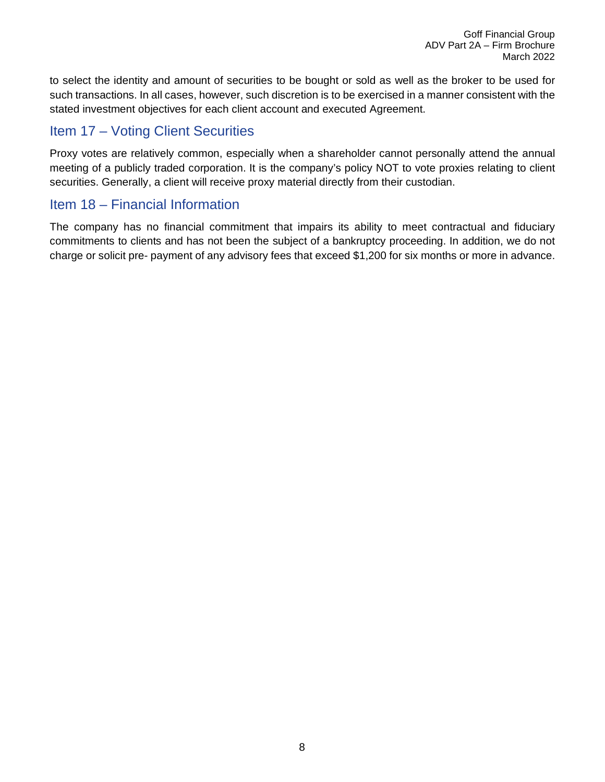to select the identity and amount of securities to be bought or sold as well as the broker to be used for such transactions. In all cases, however, such discretion is to be exercised in a manner consistent with the stated investment objectives for each client account and executed Agreement.

# <span id="page-10-0"></span>Item 17 – Voting Client Securities

Proxy votes are relatively common, especially when a shareholder cannot personally attend the annual meeting of a publicly traded corporation. It is the company's policy NOT to vote proxies relating to client securities. Generally, a client will receive proxy material directly from their custodian.

### <span id="page-10-1"></span>Item 18 – Financial Information

The company has no financial commitment that impairs its ability to meet contractual and fiduciary commitments to clients and has not been the subject of a bankruptcy proceeding. In addition, we do not charge or solicit pre- payment of any advisory fees that exceed \$1,200 for six months or more in advance.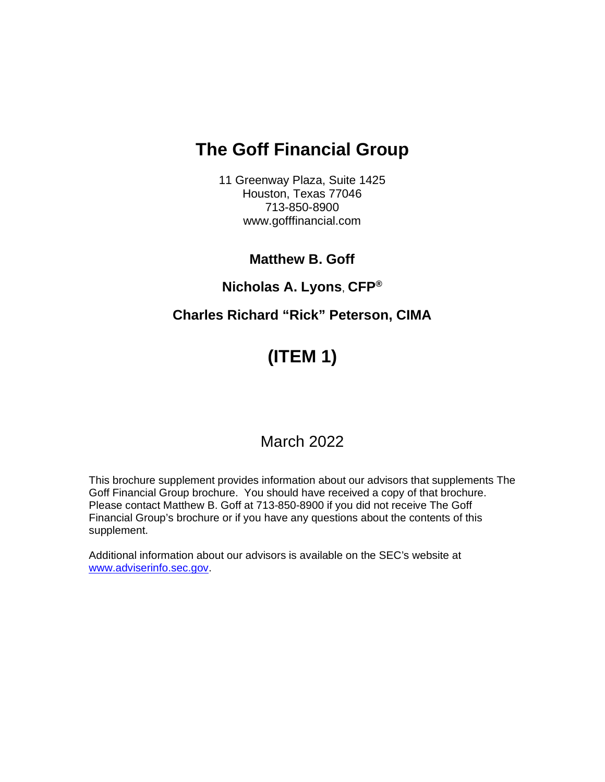# **The Goff Financial Group**

11 Greenway Plaza, Suite 1425 Houston, Texas 77046 713-850-8900 www.gofffinancial.com

# **Matthew B. Goff**

# **Nicholas A. Lyons**, **CFP®**

# **Charles Richard "Rick" Peterson, CIMA**

# **(ITEM 1)**

# March 2022

This brochure supplement provides information about our advisors that supplements The Goff Financial Group brochure. You should have received a copy of that brochure. Please contact Matthew B. Goff at 713-850-8900 if you did not receive The Goff Financial Group's brochure or if you have any questions about the contents of this supplement.

Additional information about our advisors is available on the SEC's website at [www.adviserinfo.sec.gov.](http://www.adviserinfo.sec.gov/)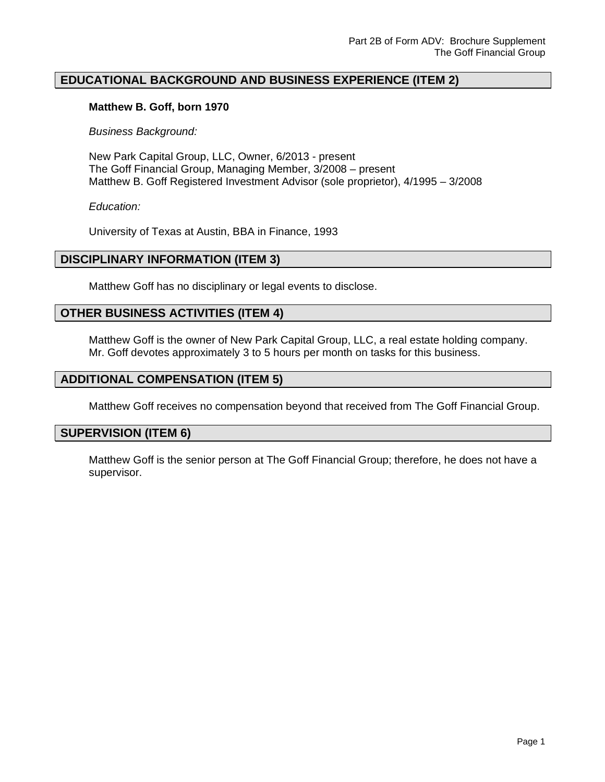#### **EDUCATIONAL BACKGROUND AND BUSINESS EXPERIENCE (ITEM 2)**

#### **Matthew B. Goff, born 1970**

*Business Background:*

New Park Capital Group, LLC, Owner, 6/2013 - present The Goff Financial Group, Managing Member, 3/2008 – present Matthew B. Goff Registered Investment Advisor (sole proprietor), 4/1995 – 3/2008

*Education:* 

University of Texas at Austin, BBA in Finance, 1993

#### **DISCIPLINARY INFORMATION (ITEM 3)**

Matthew Goff has no disciplinary or legal events to disclose.

#### **OTHER BUSINESS ACTIVITIES (ITEM 4)**

Matthew Goff is the owner of New Park Capital Group, LLC, a real estate holding company. Mr. Goff devotes approximately 3 to 5 hours per month on tasks for this business.

#### **ADDITIONAL COMPENSATION (ITEM 5)**

Matthew Goff receives no compensation beyond that received from The Goff Financial Group.

#### **SUPERVISION (ITEM 6)**

Matthew Goff is the senior person at The Goff Financial Group; therefore, he does not have a supervisor.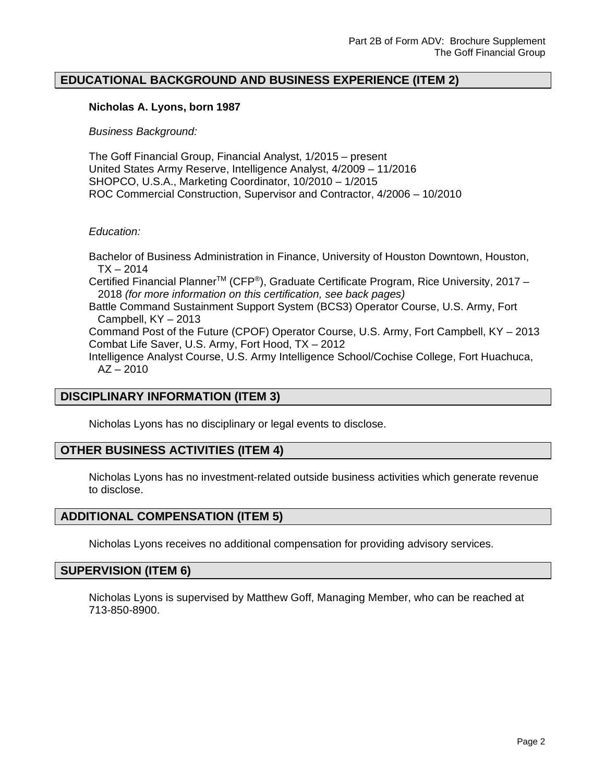#### **EDUCATIONAL BACKGROUND AND BUSINESS EXPERIENCE (ITEM 2)**

#### **Nicholas A. Lyons, born 1987**

#### *Business Background:*

The Goff Financial Group, Financial Analyst, 1/2015 – present United States Army Reserve, Intelligence Analyst, 4/2009 – 11/2016 SHOPCO, U.S.A., Marketing Coordinator, 10/2010 – 1/2015 ROC Commercial Construction, Supervisor and Contractor, 4/2006 – 10/2010

#### *Education:*

Bachelor of Business Administration in Finance, University of Houston Downtown, Houston,  $TX - 2014$ Certified Financial Planner<sup>™</sup> (CFP<sup>®</sup>), Graduate Certificate Program, Rice University, 2017 – 2018 *(for more information on this certification, see back pages)* Battle Command Sustainment Support System (BCS3) Operator Course, U.S. Army, Fort Campbell, KY – 2013 Command Post of the Future (CPOF) Operator Course, U.S. Army, Fort Campbell, KY – 2013 Combat Life Saver, U.S. Army, Fort Hood, TX – 2012 Intelligence Analyst Course, U.S. Army Intelligence School/Cochise College, Fort Huachuca,  $AZ - 2010$ 

#### **DISCIPLINARY INFORMATION (ITEM 3)**

Nicholas Lyons has no disciplinary or legal events to disclose.

#### **OTHER BUSINESS ACTIVITIES (ITEM 4)**

Nicholas Lyons has no investment-related outside business activities which generate revenue to disclose.

#### **ADDITIONAL COMPENSATION (ITEM 5)**

Nicholas Lyons receives no additional compensation for providing advisory services.

#### **SUPERVISION (ITEM 6)**

Nicholas Lyons is supervised by Matthew Goff, Managing Member, who can be reached at 713-850-8900.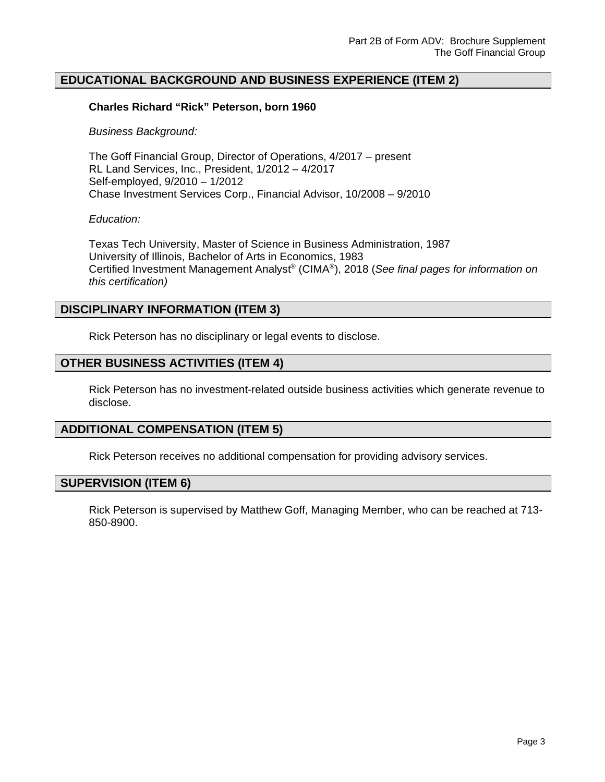#### **EDUCATIONAL BACKGROUND AND BUSINESS EXPERIENCE (ITEM 2)**

#### **Charles Richard "Rick" Peterson, born 1960**

#### *Business Background:*

The Goff Financial Group, Director of Operations, 4/2017 – present RL Land Services, Inc., President, 1/2012 – 4/2017 Self-employed, 9/2010 – 1/2012 Chase Investment Services Corp., Financial Advisor, 10/2008 – 9/2010

#### *Education:*

Texas Tech University, Master of Science in Business Administration, 1987 University of Illinois, Bachelor of Arts in Economics, 1983 Certified Investment Management Analyst® (CIMA®), 2018 (*See final pages for information on this certification)*

#### **DISCIPLINARY INFORMATION (ITEM 3)**

Rick Peterson has no disciplinary or legal events to disclose.

#### **OTHER BUSINESS ACTIVITIES (ITEM 4)**

Rick Peterson has no investment-related outside business activities which generate revenue to disclose.

#### **ADDITIONAL COMPENSATION (ITEM 5)**

Rick Peterson receives no additional compensation for providing advisory services.

#### **SUPERVISION (ITEM 6)**

Rick Peterson is supervised by Matthew Goff, Managing Member, who can be reached at 713- 850-8900.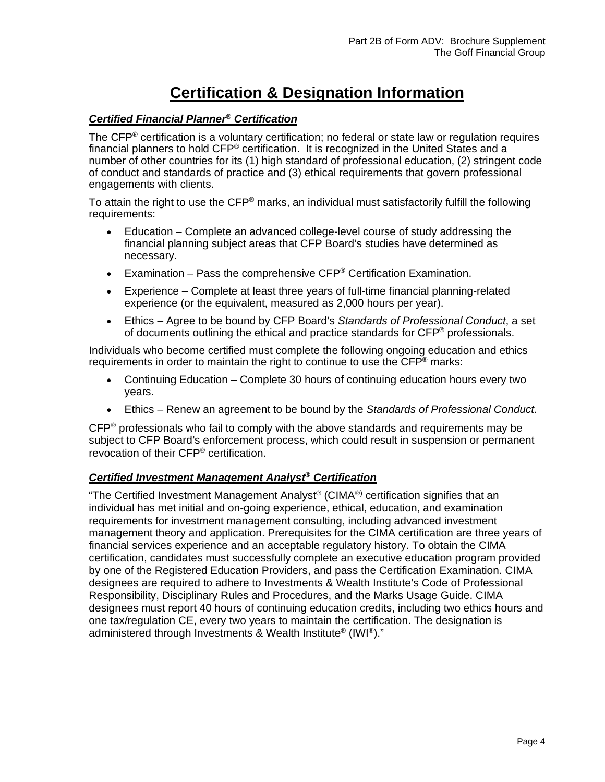# **Certification & Designation Information**

#### *Certified Financial Planner® Certification*

The CFP<sup>®</sup> certification is a voluntary certification; no federal or state law or regulation requires financial planners to hold CFP® certification. It is recognized in the United States and a number of other countries for its (1) high standard of professional education, (2) stringent code of conduct and standards of practice and (3) ethical requirements that govern professional engagements with clients.

To attain the right to use the CFP<sup>®</sup> marks, an individual must satisfactorily fulfill the following requirements:

- Education Complete an advanced college-level course of study addressing the financial planning subject areas that CFP Board's studies have determined as necessary.
- **•** Examination Pass the comprehensive CFP<sup>®</sup> Certification Examination.
- Experience Complete at least three years of full-time financial planning-related experience (or the equivalent, measured as 2,000 hours per year).
- Ethics Agree to be bound by CFP Board's *Standards of Professional Conduct*, a set of documents outlining the ethical and practice standards for CFP® professionals.

Individuals who become certified must complete the following ongoing education and ethics requirements in order to maintain the right to continue to use the  $\text{CFP}^{\otimes}$  marks:

- Continuing Education Complete 30 hours of continuing education hours every two years.
- Ethics Renew an agreement to be bound by the *Standards of Professional Conduct*.

 $CFP^{\circledast}$  professionals who fail to comply with the above standards and requirements may be subject to CFP Board's enforcement process, which could result in suspension or permanent revocation of their CFP® certification.

#### *Certified Investment Management Analyst® Certification*

"The Certified Investment Management Analyst® (CIMA®) certification signifies that an individual has met initial and on-going experience, ethical, education, and examination requirements for investment management consulting, including advanced investment management theory and application. Prerequisites for the CIMA certification are three years of financial services experience and an acceptable regulatory history. To obtain the CIMA certification, candidates must successfully complete an executive education program provided by one of the Registered Education Providers, and pass the Certification Examination. CIMA designees are required to adhere to Investments & Wealth Institute's Code of Professional Responsibility, Disciplinary Rules and Procedures, and the Marks Usage Guide. CIMA designees must report 40 hours of continuing education credits, including two ethics hours and one tax/regulation CE, every two years to maintain the certification. The designation is administered through Investments & Wealth Institute® (IWI®)."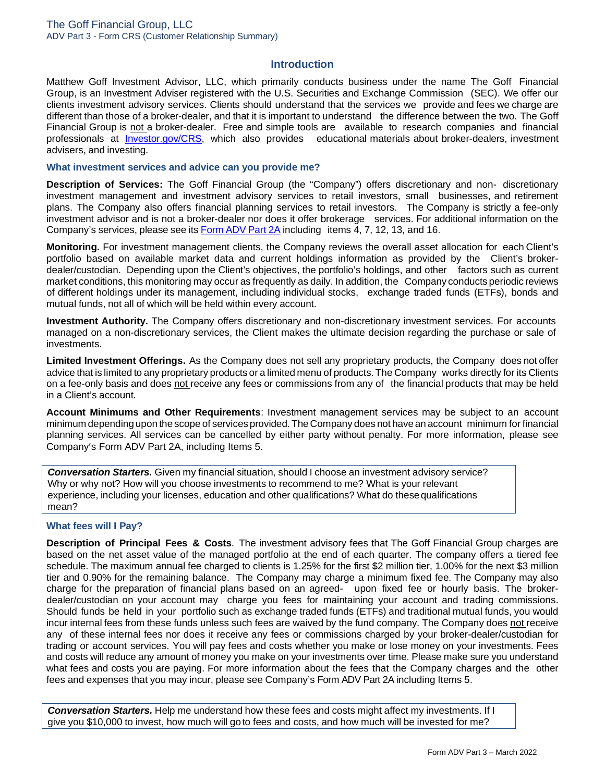#### **Introduction**

Matthew Goff Investment Advisor, LLC, which primarily conducts business under the name The Goff Financial Group, is an Investment Adviser registered with the U.S. Securities and Exchange Commission (SEC). We offer our clients investment advisory services. Clients should understand that the services we provide and fees we charge are different than those of a broker-dealer, and that it is important to understand the difference between the two. The Goff Financial Group is not a broker-dealer. Free and simple tools are available to research companies and financial professionals at [Investor.gov/CRS,](http://www.investor.gov/CRS) which also provides educational materials about broker-dealers, investment advisers, and investing.

#### **What investment services and advice can you provide me?**

**Description of Services:** The Goff Financial Group (the "Company") offers discretionary and non- discretionary investment management and investment advisory services to retail investors, small businesses, and retirement plans. The Company also offers financial planning services to retail investors. The Company is strictly a fee-only investment advisor and is not a broker-dealer nor does it offer brokerage services. For additional information on the Company's services, please see its Form ADV Part 2A [including](https://www.gofffinancial.com/wp-content/uploads/GoffADV2A.pdf) [items 4,](https://www.gofffinancial.com/wp-content/uploads/GoffADV2A.filed_.3.2020.pdf) 7, 12, 13, and 16.

**Monitoring.** For investment management clients, the Company reviews the overall asset allocation for each Client's portfolio based on available market data and current holdings information as provided by the Client's brokerdealer/custodian. Depending upon the Client's objectives, the portfolio's holdings, and other factors such as current market conditions, this monitoring may occur as frequently as daily. In addition, the Company conducts periodic reviews of different holdings under its management, including individual stocks, exchange traded funds (ETFs), bonds and mutual funds, not all of which will be held within every account.

**Investment Authority.** The Company offers discretionary and non-discretionary investment services. For accounts managed on a non-discretionary services, the Client makes the ultimate decision regarding the purchase or sale of investments.

**Limited Investment Offerings.** As the Company does not sell any proprietary products, the Company does not offer advice that is limited to any proprietary products or a limited menu of products. The Company works directly for its Clients on a fee-only basis and does not receive any fees or commissions from any of the financial products that may be held in a Client's account.

**Account Minimums and Other Requirements**: Investment management services may be subject to an account minimum depending upon the scope of services provided. The Company does not have an account minimum for financial planning services. All services can be cancelled by either party without penalty. For more information, please see Company's Form ADV Part 2A, including Items 5.

*Conversation Starters.* Given my financial situation, should I choose an investment advisory service? Why or why not? How will you choose investments to recommend to me? What is your relevant experience, including your licenses, education and other qualifications? What do thesequalifications mean?

#### **What fees will I Pay?**

**Description of Principal Fees & Costs**. The investment advisory fees that The Goff Financial Group charges are based on the net asset value of the managed portfolio at the end of each quarter. The company offers a tiered fee schedule. The maximum annual fee charged to clients is 1.25% for the first \$2 million tier, 1.00% for the next \$3 million tier and 0.90% for the remaining balance. The Company may charge a minimum fixed fee. The Company may also charge for the preparation of financial plans based on an agreed- upon fixed fee or hourly basis. The brokerdealer/custodian on your account may charge you fees for maintaining your account and trading commissions. Should funds be held in your portfolio such as exchange traded funds (ETFs) and traditional mutual funds, you would incur internal fees from these funds unless such fees are waived by the fund company. The Company does not receive any of these internal fees nor does it receive any fees or commissions charged by your broker-dealer/custodian for trading or account services. You will pay fees and costs whether you make or lose money on your investments. Fees and costs will reduce any amount of money you make on your investments over time. Please make sure you understand what fees and costs you are paying. For more information about the fees that the Company charges and the other fees and expenses that you may incur, please see Company's Form ADV Part 2A including Items 5.

*Conversation Starters.* Help me understand how these fees and costs might affect my investments. If I give you \$10,000 to invest, how much will go to fees and costs, and how much will be invested for me?